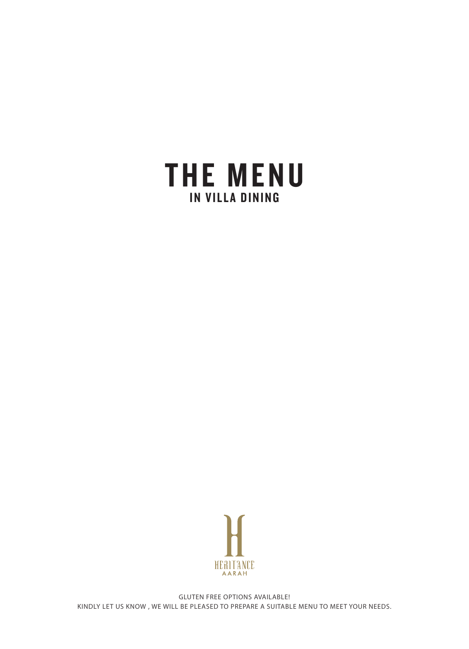



GLUTEN FREE OPTIONS AVAILABLE! KINDLY LET US KNOW , WE WILL BE PLEASED TO PREPARE A SUITABLE MENU TO MEET YOUR NEEDS.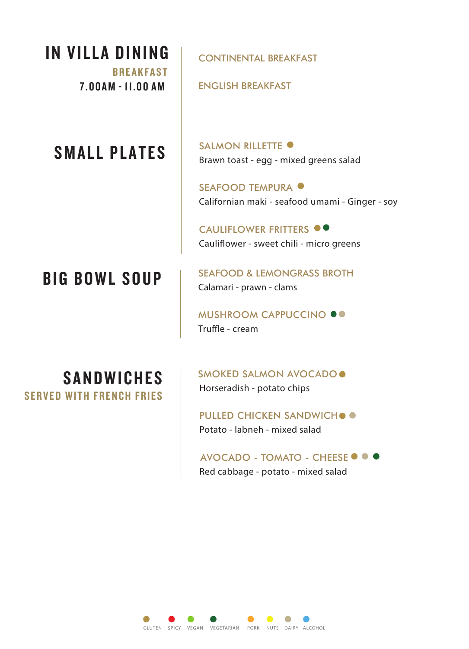IN VILLA DINING

BREAKFAST 7.00AM - 11.00 AM ENGLISH BREAKFAST

#### SMALL PLATES

CONTINENTAL BREAKFAST

SALMON RILLETTE  $\bullet$ Brawn toast - egg - mixed greens salad

SEAFOOD TEMPURA Californian maki - seafood umami - Ginger - soy

CAULIFLOWER FRITTERS  $\bullet \bullet$ Cauliflower - sweet chili - micro greens

# BIG BOWL SOUP

SEAFOOD & LEMONGRASS BROTH Calamari - prawn - clams

MUSHROOM CAPPUCCINO <sup>.</sup> Truffle - cream

#### **SANDWICHES** SERVED WITH FRENCH FRIES

SMOKED SALMON AVOCADO . Horseradish - potato chips

PULLED CHICKEN SANDWICH . Potato - labneh - mixed salad

AVOCADO - TOMATO - CHEESE <sup>·</sup> Red cabbage - potato - mixed salad

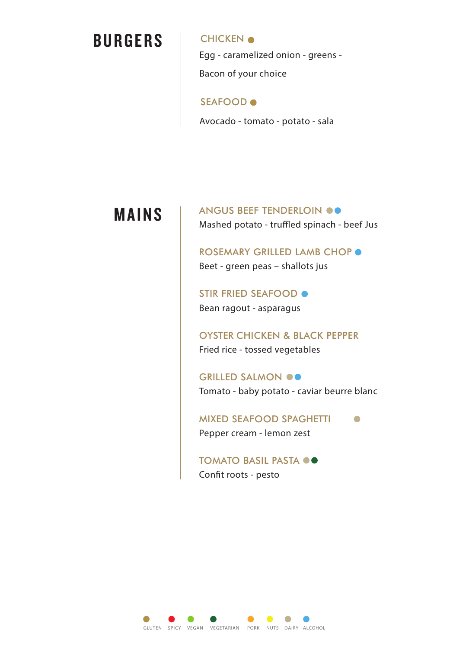## **BURGERS**

**CHICKEN**  $\bullet$ Egg - caramelized onion - greens - Bacon of your choice

SEAFOOD

Avocado - tomato - potato - sala

### MAINS

ANGUS BEEF TENDERLOIN OO Mashed potato - truffled spinach - beef Jus

ROSEMARY GRILLED LAMB CHOP  $\bullet$ Beet - green peas – shallots jus

STIR FRIED SEAFOOD . Bean ragout - asparagus

OYSTER CHICKEN & BLACK PEPPER Fried rice - tossed vegetables

GRILLED SALMON OO Tomato - baby potato - caviar beurre blanc

MIXED SEAFOOD SPAGHETTI Pepper cream - lemon zest

TOMATO BASIL PASTA  $\bullet$ Confit roots - pesto